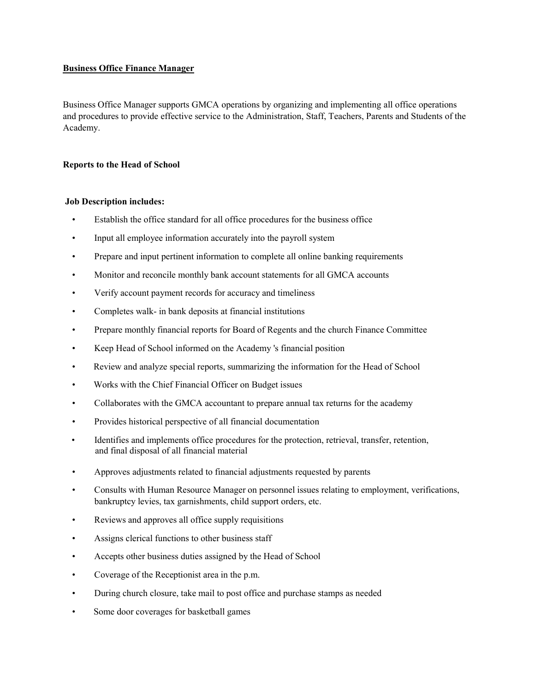#### Business Office Finance Manager

Business Office Manager supports GMCA operations by organizing and implementing all office operations and procedures to provide effective service to the Administration, Staff, Teachers, Parents and Students of the Academy.

### Reports to the Head of School

### Job Description includes:

- Establish the office standard for all office procedures for the business office
- Input all employee information accurately into the payroll system
- Prepare and input pertinent information to complete all online banking requirements
- Monitor and reconcile monthly bank account statements for all GMCA accounts
- Verify account payment records for accuracy and timeliness
- Completes walk- in bank deposits at financial institutions
- Prepare monthly financial reports for Board of Regents and the church Finance Committee
- Keep Head of School informed on the Academy 's financial position
- Review and analyze special reports, summarizing the information for the Head of School
- Works with the Chief Financial Officer on Budget issues
- Collaborates with the GMCA accountant to prepare annual tax returns for the academy
- Provides historical perspective of all financial documentation
- Identifies and implements office procedures for the protection, retrieval, transfer, retention, and final disposal of all financial material
- Approves adjustments related to financial adjustments requested by parents
- Consults with Human Resource Manager on personnel issues relating to employment, verifications, bankruptcy levies, tax garnishments, child support orders, etc.
- Reviews and approves all office supply requisitions
- Assigns clerical functions to other business staff
- Accepts other business duties assigned by the Head of School
- Coverage of the Receptionist area in the p.m.
- During church closure, take mail to post office and purchase stamps as needed
- Some door coverages for basketball games